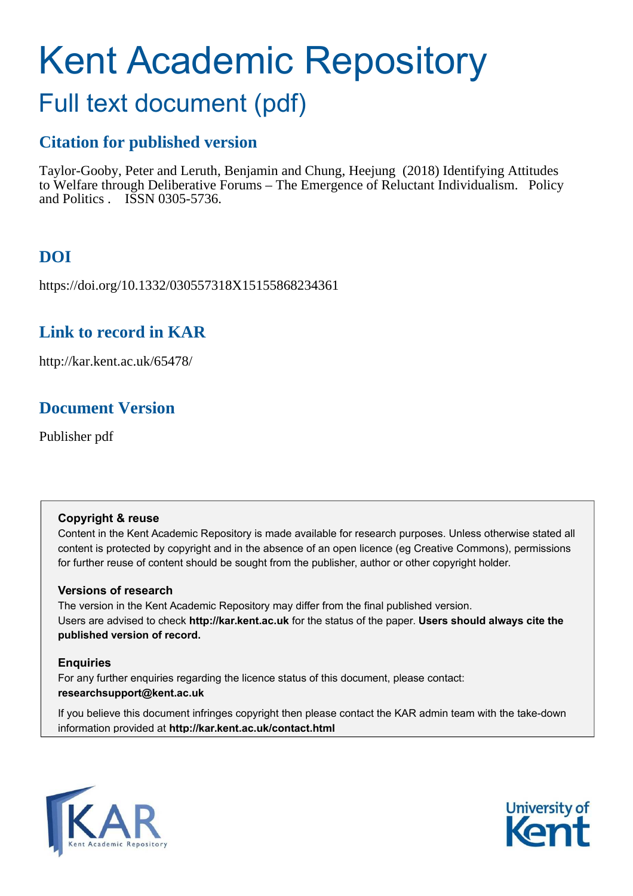# Kent Academic Repository

## Full text document (pdf)

## **Citation for published version**

Taylor-Gooby, Peter and Leruth, Benjamin and Chung, Heejung (2018) Identifying Attitudes to Welfare through Deliberative Forums – The Emergence of Reluctant Individualism. Policy and Politics . ISSN 0305-5736.

## **DOI**

https://doi.org/10.1332/030557318X15155868234361

## **Link to record in KAR**

http://kar.kent.ac.uk/65478/

## **Document Version**

Publisher pdf

#### **Copyright & reuse**

Content in the Kent Academic Repository is made available for research purposes. Unless otherwise stated all content is protected by copyright and in the absence of an open licence (eg Creative Commons), permissions for further reuse of content should be sought from the publisher, author or other copyright holder.

#### **Versions of research**

The version in the Kent Academic Repository may differ from the final published version. Users are advised to check **http://kar.kent.ac.uk** for the status of the paper. **Users should always cite the published version of record.**

#### **Enquiries**

For any further enquiries regarding the licence status of this document, please contact: **researchsupport@kent.ac.uk**

If you believe this document infringes copyright then please contact the KAR admin team with the take-down information provided at **http://kar.kent.ac.uk/contact.html**



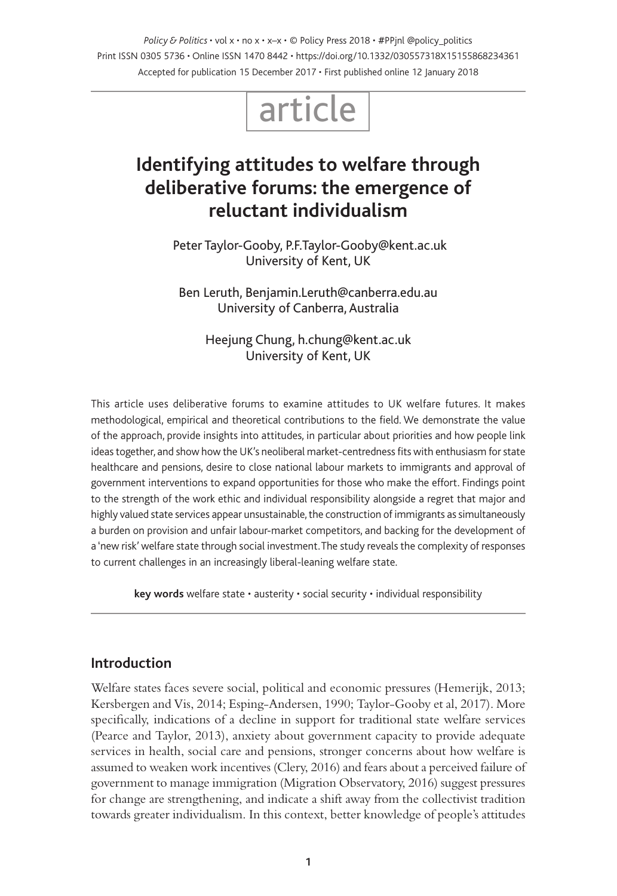*Policy & Politics* • vol x • no x • x–x • © Policy Press 2018 • #PPjnl @policy\_politics Print ISSN 0305 5736 • Online ISSN 1470 8442 • https://doi.org/10.1332/030557318X15155868234361 Accepted for publication 15 December 2017 • First published online 12 January 2018



### **Identifying attitudes to welfare through deliberative forums: the emergence of reluctant individualism**

 Peter Taylor-Gooby, P.F.Taylor-Gooby@kent.ac.uk University of Kent, UK

Ben Leruth, Benjamin.Leruth@canberra.edu.au University of Canberra, Australia

> Heejung Chung, h.chung@kent.ac.uk University of Kent, UK

This article uses deliberative forums to examine attitudes to UK welfare futures. It makes methodological, empirical and theoretical contributions to the ield. We demonstrate the value of the approach, provide insights into attitudes, in particular about priorities and how people link ideas together, and show how the UK's neoliberal market-centredness its with enthusiasm for state healthcare and pensions, desire to close national labour markets to immigrants and approval of government interventions to expand opportunities for those who make the effort. Findings point to the strength of the work ethic and individual responsibility alongside a regret that major and highly valued state services appear unsustainable, the construction of immigrants as simultaneously a burden on provision and unfair labour-market competitors, and backing for the development of a 'new risk' welfare state through social investment. The study reveals the complexity of responses to current challenges in an increasingly liberal-leaning welfare state.

**key words** welfare state • austerity • social security • individual responsibility

#### **Introduction**

Welfare states faces severe social, political and economic pressures (Hemerijk, 2013; Kersbergen and Vis, 2014; Esping-Andersen, 1990; Taylor-Gooby et al, 2017). More specifically, indications of a decline in support for traditional state welfare services (Pearce and Taylor, 2013), anxiety about government capacity to provide adequate services in health, social care and pensions, stronger concerns about how welfare is assumed to weaken work incentives (Clery, 2016) and fears about a perceived failure of government to manage immigration (Migration Observatory, 2016) suggest pressures for change are strengthening, and indicate a shift away from the collectivist tradition towards greater individualism. In this context, better knowledge of people's attitudes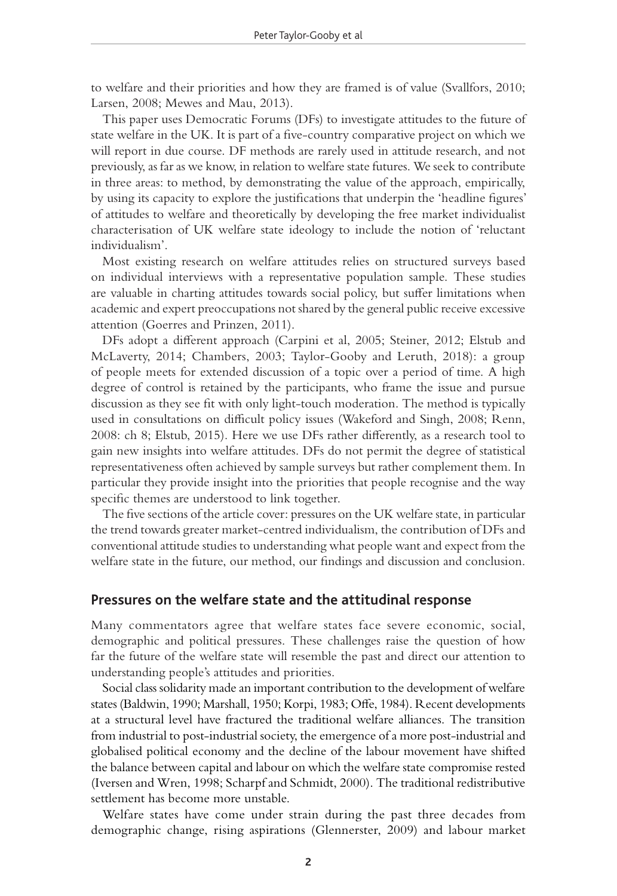to welfare and their priorities and how they are framed is of value (Svallfors, 2010; Larsen, 2008; Mewes and Mau, 2013).

This paper uses Democratic Forums (DFs) to investigate attitudes to the future of state welfare in the UK. It is part of a ive-country comparative project on which we will report in due course. DF methods are rarely used in attitude research, and not previously, as far as we know, in relation to welfare state futures. We seek to contribute in three areas: to method, by demonstrating the value of the approach, empirically, by using its capacity to explore the justifications that underpin the 'headline figures' of attitudes to welfare and theoretically by developing the free market individualist characterisation of UK welfare state ideology to include the notion of 'reluctant individualism'.

Most existing research on welfare attitudes relies on structured surveys based on individual interviews with a representative population sample. These studies are valuable in charting attitudes towards social policy, but sufer limitations when academic and expert preoccupations not shared by the general public receive excessive attention (Goerres and Prinzen, 2011).

DFs adopt a diferent approach (Carpini et al, 2005; Steiner, 2012; Elstub and McLaverty, 2014; Chambers, 2003; Taylor-Gooby and Leruth, 2018): a group of people meets for extended discussion of a topic over a period of time. A high degree of control is retained by the participants, who frame the issue and pursue discussion as they see it with only light-touch moderation. The method is typically used in consultations on difficult policy issues (Wakeford and Singh, 2008; Renn, 2008: ch 8; Elstub, 2015). Here we use DFs rather diferently, as a research tool to gain new insights into welfare attitudes. DFs do not permit the degree of statistical representativeness often achieved by sample surveys but rather complement them. In particular they provide insight into the priorities that people recognise and the way specific themes are understood to link together.

The five sections of the article cover: pressures on the UK welfare state, in particular the trend towards greater market-centred individualism, the contribution of DFs and conventional attitude studies to understanding what people want and expect from the welfare state in the future, our method, our findings and discussion and conclusion.

#### **Pressures on the welfare state and the attitudinal response**

Many commentators agree that welfare states face severe economic, social, demographic and political pressures. These challenges raise the question of how far the future of the welfare state will resemble the past and direct our attention to understanding people's attitudes and priorities.

Social class solidarity made an important contribution to the development of welfare states (Baldwin, 1990; Marshall, 1950; Korpi, 1983; Ofe, 1984). Recent developments at a structural level have fractured the traditional welfare alliances. The transition from industrial to post-industrial society, the emergence of a more post-industrial and globalised political economy and the decline of the labour movement have shifted the balance between capital and labour on which the welfare state compromise rested (Iversen and Wren, 1998; Scharpf and Schmidt, 2000). The traditional redistributive settlement has become more unstable.

Welfare states have come under strain during the past three decades from demographic change, rising aspirations (Glennerster, 2009) and labour market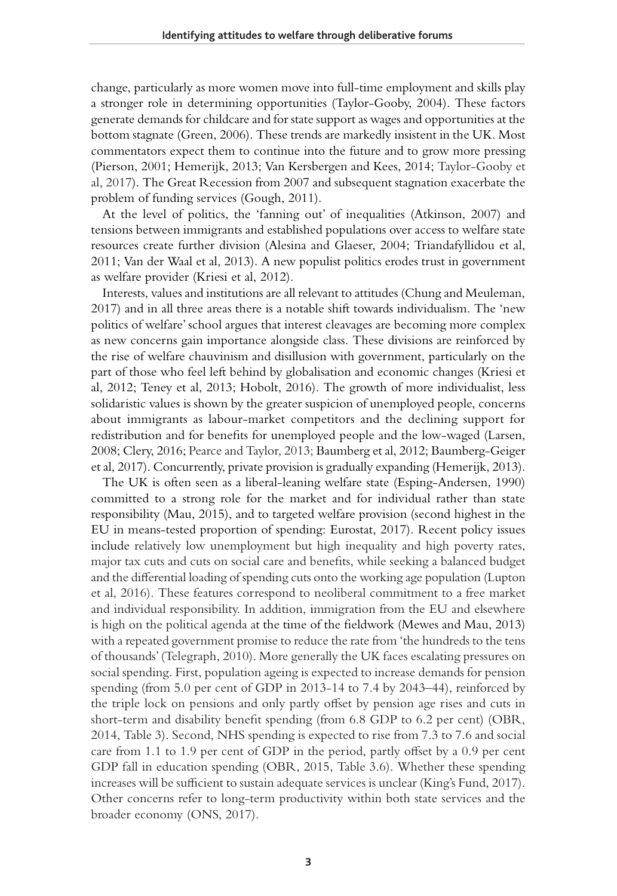change, particularly as more women move into full-time employment and skills play a stronger role in determining opportunities (Taylor-Gooby, 2004). These factors generate demands for childcare and for state support as wages and opportunities at the bottom stagnate (Green, 2006). These trends are markedly insistent in the UK. Most commentators expect them to continue into the future and to grow more pressing (Pierson, 2001; Hemerijk, 2013; Van Kersbergen and Kees, 2014; Taylor-Gooby et al, 2017). The Great Recession from 2007 and subsequent stagnation exacerbate the problem of funding services (Gough, 2011).

At the level of politics, the 'fanning out' of inequalities (Atkinson, 2007) and tensions between immigrants and established populations over access to welfare state resources create further division (Alesina and Glaeser, 2004; Triandafyllidou et al, 2011; Van der Waal et al, 2013). A new populist politics erodes trust in government as welfare provider (Kriesi et al, 2012).

Interests, values and institutions are all relevant to attitudes (Chung and Meuleman, 2017) and in all three areas there is a notable shift towards individualism. The 'new politics of welfare' school argues that interest cleavages are becoming more complex as new concerns gain importance alongside class. These divisions are reinforced by the rise of welfare chauvinism and disillusion with government, particularly on the part of those who feel left behind by globalisation and economic changes (Kriesi et al, 2012; Teney et al, 2013; Hobolt, 2016). The growth of more individualist, less solidaristic values is shown by the greater suspicion of unemployed people, concerns about immigrants as labour-market competitors and the declining support for redistribution and for benefits for unemployed people and the low-waged (Larsen, 2008; Clery, 2016; Pearce and Taylor, 2013; Baumberg et al, 2012; Baumberg-Geiger et al, 2017). Concurrently, private provision is gradually expanding (Hemerijk, 2013).

The UK is often seen as a liberal-leaning welfare state (Esping-Andersen, 1990) committed to a strong role for the market and for individual rather than state responsibility (Mau, 2015), and to targeted welfare provision (second highest in the EU in means-tested proportion of spending: Eurostat, 2017). Recent policy issues include relatively low unemployment but high inequality and high poverty rates, major tax cuts and cuts on social care and benefits, while seeking a balanced budget and the diferential loading of spending cuts onto the working age population (Lupton et al, 2016). These features correspond to neoliberal commitment to a free market and individual responsibility. In addition, immigration from the EU and elsewhere is high on the political agenda at the time of the fieldwork (Mewes and Mau, 2013) with a repeated government promise to reduce the rate from 'the hundreds to the tens of thousands' (Telegraph, 2010). More generally the UK faces escalating pressures on social spending. First, population ageing is expected to increase demands for pension spending (from 5.0 per cent of GDP in 2013-14 to 7.4 by 2043–44), reinforced by the triple lock on pensions and only partly ofset by pension age rises and cuts in short-term and disability benefit spending (from 6.8 GDP to 6.2 per cent) (OBR, 2014, Table 3). Second, NHS spending is expected to rise from 7.3 to 7.6 and social care from 1.1 to 1.9 per cent of GDP in the period, partly offset by a 0.9 per cent GDP fall in education spending (OBR, 2015, Table 3.6). Whether these spending increases will be sufficient to sustain adequate services is unclear (King's Fund, 2017). Other concerns refer to long-term productivity within both state services and the broader economy (ONS, 2017).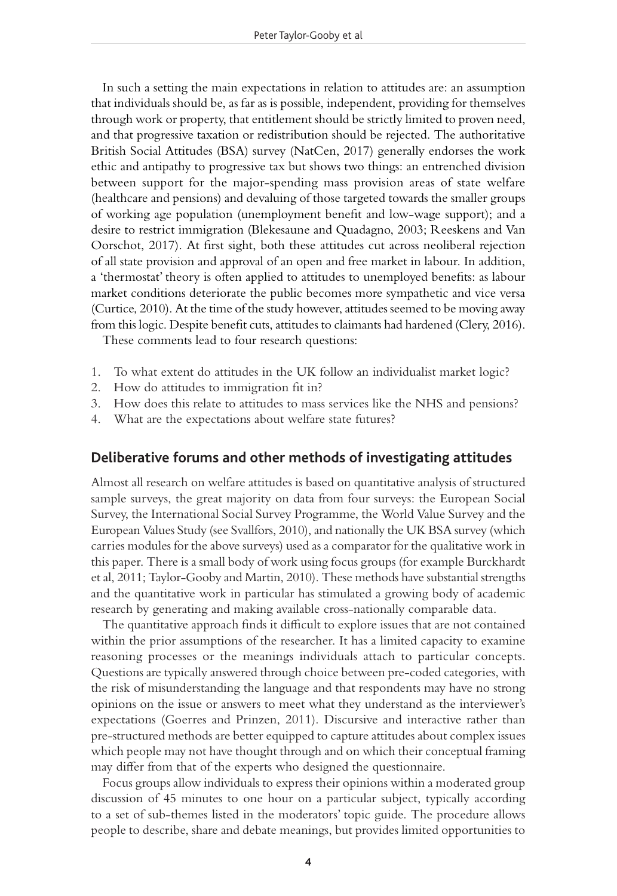In such a setting the main expectations in relation to attitudes are: an assumption that individuals should be, as far as is possible, independent, providing for themselves through work or property, that entitlement should be strictly limited to proven need, and that progressive taxation or redistribution should be rejected. The authoritative British Social Attitudes (BSA) survey (NatCen, 2017) generally endorses the work ethic and antipathy to progressive tax but shows two things: an entrenched division between support for the major-spending mass provision areas of state welfare (healthcare and pensions) and devaluing of those targeted towards the smaller groups of working age population (unemployment benefit and low-wage support); and a desire to restrict immigration (Blekesaune and Quadagno, 2003; Reeskens and Van Oorschot, 2017). At first sight, both these attitudes cut across neoliberal rejection of all state provision and approval of an open and free market in labour. In addition, a 'thermostat' theory is often applied to attitudes to unemployed benefits: as labour market conditions deteriorate the public becomes more sympathetic and vice versa (Curtice, 2010). At the time of the study however, attitudes seemed to be moving away from this logic. Despite benefit cuts, attitudes to claimants had hardened (Clery, 2016).

These comments lead to four research questions:

- 1. To what extent do attitudes in the UK follow an individualist market logic?
- 2. How do attitudes to immigration fit in?
- 3. How does this relate to attitudes to mass services like the NHS and pensions?
- 4. What are the expectations about welfare state futures?

#### **Deliberative forums and other methods of investigating attitudes**

Almost all research on welfare attitudes is based on quantitative analysis of structured sample surveys, the great majority on data from four surveys: the European Social Survey, the International Social Survey Programme, the World Value Survey and the European Values Study (see Svallfors, 2010), and nationally the UK BSA survey (which carries modules for the above surveys) used as a comparator for the qualitative work in this paper. There is a small body of work using focus groups (for example Burckhardt et al, 2011; Taylor-Gooby and Martin, 2010). These methods have substantial strengths and the quantitative work in particular has stimulated a growing body of academic research by generating and making available cross-nationally comparable data.

The quantitative approach finds it difficult to explore issues that are not contained within the prior assumptions of the researcher. It has a limited capacity to examine reasoning processes or the meanings individuals attach to particular concepts. Questions are typically answered through choice between pre-coded categories, with the risk of misunderstanding the language and that respondents may have no strong opinions on the issue or answers to meet what they understand as the interviewer's expectations (Goerres and Prinzen, 2011). Discursive and interactive rather than pre-structured methods are better equipped to capture attitudes about complex issues which people may not have thought through and on which their conceptual framing may difer from that of the experts who designed the questionnaire.

Focus groups allow individuals to express their opinions within a moderated group discussion of 45 minutes to one hour on a particular subject, typically according to a set of sub-themes listed in the moderators' topic guide. The procedure allows people to describe, share and debate meanings, but provides limited opportunities to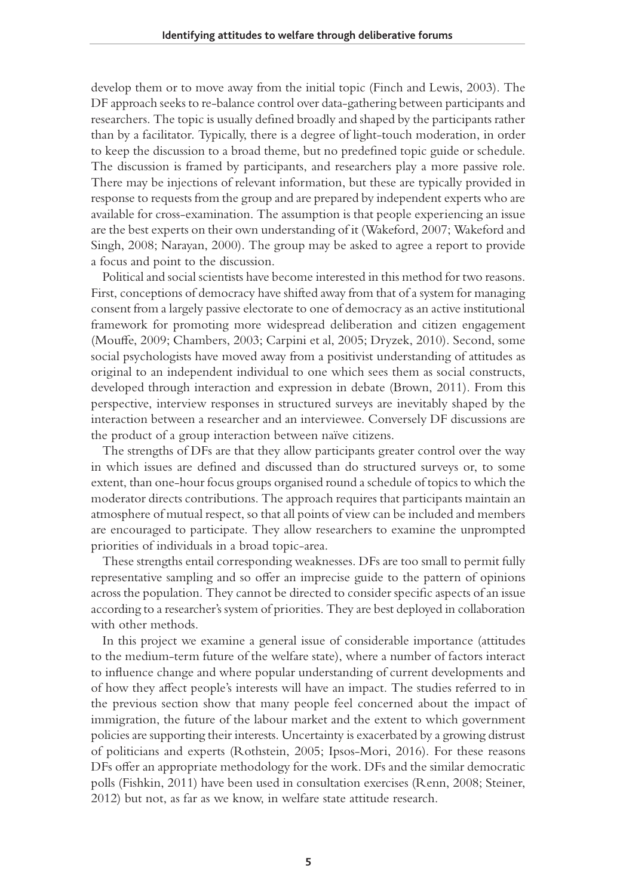develop them or to move away from the initial topic (Finch and Lewis, 2003). The DF approach seeks to re-balance control over data-gathering between participants and researchers. The topic is usually defined broadly and shaped by the participants rather than by a facilitator. Typically, there is a degree of light-touch moderation, in order to keep the discussion to a broad theme, but no predeined topic guide or schedule. The discussion is framed by participants, and researchers play a more passive role. There may be injections of relevant information, but these are typically provided in response to requests from the group and are prepared by independent experts who are available for cross-examination. The assumption is that people experiencing an issue are the best experts on their own understanding of it (Wakeford, 2007; Wakeford and Singh, 2008; Narayan, 2000). The group may be asked to agree a report to provide a focus and point to the discussion.

Political and social scientists have become interested in this method for two reasons. First, conceptions of democracy have shifted away from that of a system for managing consent from a largely passive electorate to one of democracy as an active institutional framework for promoting more widespread deliberation and citizen engagement (Moufe, 2009; Chambers, 2003; Carpini et al, 2005; Dryzek, 2010). Second, some social psychologists have moved away from a positivist understanding of attitudes as original to an independent individual to one which sees them as social constructs, developed through interaction and expression in debate (Brown, 2011). From this perspective, interview responses in structured surveys are inevitably shaped by the interaction between a researcher and an interviewee. Conversely DF discussions are the product of a group interaction between naïve citizens.

The strengths of DFs are that they allow participants greater control over the way in which issues are defined and discussed than do structured surveys or, to some extent, than one-hour focus groups organised round a schedule of topics to which the moderator directs contributions. The approach requires that participants maintain an atmosphere of mutual respect, so that all points of view can be included and members are encouraged to participate. They allow researchers to examine the unprompted priorities of individuals in a broad topic-area.

These strengths entail corresponding weaknesses. DFs are too small to permit fully representative sampling and so offer an imprecise guide to the pattern of opinions across the population. They cannot be directed to consider specific aspects of an issue according to a researcher's system of priorities. They are best deployed in collaboration with other methods.

In this project we examine a general issue of considerable importance (attitudes to the medium-term future of the welfare state), where a number of factors interact to inluence change and where popular understanding of current developments and of how they afect people's interests will have an impact. The studies referred to in the previous section show that many people feel concerned about the impact of immigration, the future of the labour market and the extent to which government policies are supporting their interests. Uncertainty is exacerbated by a growing distrust of politicians and experts (Rothstein, 2005; Ipsos-Mori, 2016). For these reasons DFs offer an appropriate methodology for the work. DFs and the similar democratic polls (Fishkin, 2011) have been used in consultation exercises (Renn, 2008; Steiner, 2012) but not, as far as we know, in welfare state attitude research.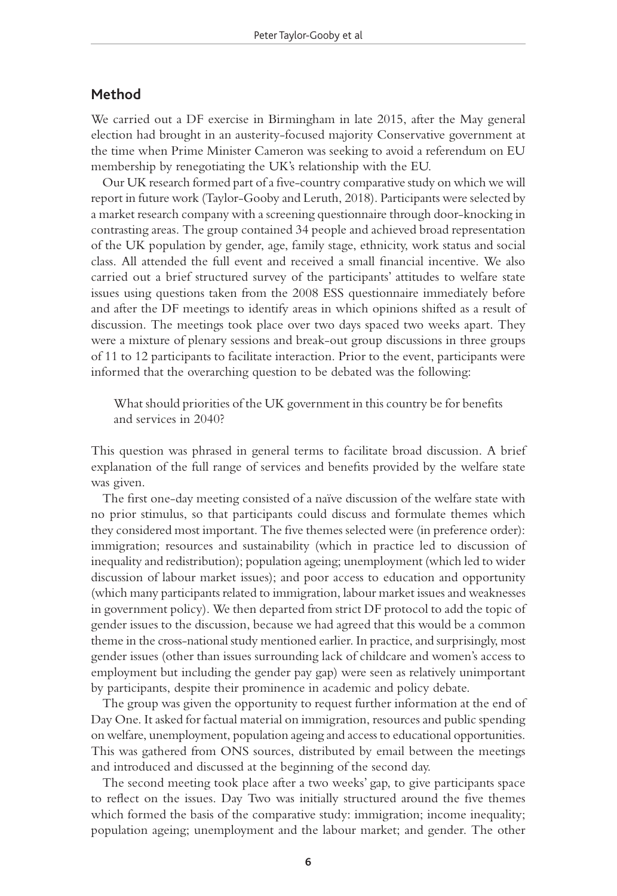#### **Method**

We carried out a DF exercise in Birmingham in late 2015, after the May general election had brought in an austerity-focused majority Conservative government at the time when Prime Minister Cameron was seeking to avoid a referendum on EU membership by renegotiating the UK's relationship with the EU.

Our UK research formed part of a five-country comparative study on which we will report in future work (Taylor-Gooby and Leruth, 2018). Participants were selected by a market research company with a screening questionnaire through door-knocking in contrasting areas. The group contained 34 people and achieved broad representation of the UK population by gender, age, family stage, ethnicity, work status and social class. All attended the full event and received a small inancial incentive. We also carried out a brief structured survey of the participants' attitudes to welfare state issues using questions taken from the 2008 ESS questionnaire immediately before and after the DF meetings to identify areas in which opinions shifted as a result of discussion. The meetings took place over two days spaced two weeks apart. They were a mixture of plenary sessions and break-out group discussions in three groups of 11 to 12 participants to facilitate interaction. Prior to the event, participants were informed that the overarching question to be debated was the following:

What should priorities of the UK government in this country be for benefits and services in 2040?

This question was phrased in general terms to facilitate broad discussion. A brief explanation of the full range of services and benefits provided by the welfare state was given.

The first one-day meeting consisted of a naïve discussion of the welfare state with no prior stimulus, so that participants could discuss and formulate themes which they considered most important. The five themes selected were (in preference order): immigration; resources and sustainability (which in practice led to discussion of inequality and redistribution); population ageing; unemployment (which led to wider discussion of labour market issues); and poor access to education and opportunity (which many participants related to immigration, labour market issues and weaknesses in government policy). We then departed from strict DF protocol to add the topic of gender issues to the discussion, because we had agreed that this would be a common theme in the cross-national study mentioned earlier. In practice, and surprisingly, most gender issues (other than issues surrounding lack of childcare and women's access to employment but including the gender pay gap) were seen as relatively unimportant by participants, despite their prominence in academic and policy debate.

The group was given the opportunity to request further information at the end of Day One. It asked for factual material on immigration, resources and public spending on welfare, unemployment, population ageing and access to educational opportunities. This was gathered from ONS sources, distributed by email between the meetings and introduced and discussed at the beginning of the second day.

The second meeting took place after a two weeks' gap, to give participants space to relect on the issues. Day Two was initially structured around the ive themes which formed the basis of the comparative study: immigration; income inequality; population ageing; unemployment and the labour market; and gender. The other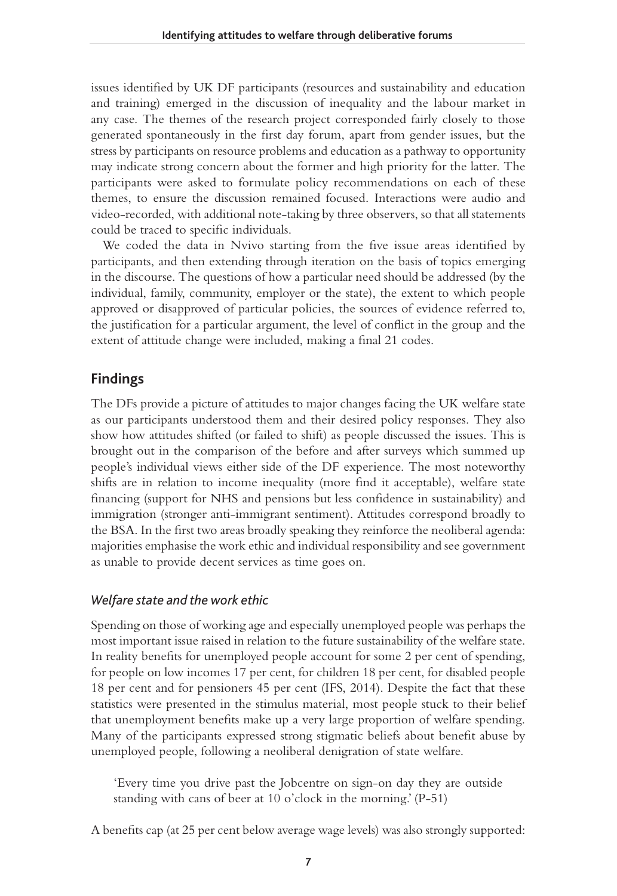issues identified by UK DF participants (resources and sustainability and education and training) emerged in the discussion of inequality and the labour market in any case. The themes of the research project corresponded fairly closely to those generated spontaneously in the irst day forum, apart from gender issues, but the stress by participants on resource problems and education as a pathway to opportunity may indicate strong concern about the former and high priority for the latter. The participants were asked to formulate policy recommendations on each of these themes, to ensure the discussion remained focused. Interactions were audio and video-recorded, with additional note-taking by three observers, so that all statements could be traced to specific individuals.

We coded the data in Nvivo starting from the five issue areas identified by participants, and then extending through iteration on the basis of topics emerging in the discourse. The questions of how a particular need should be addressed (by the individual, family, community, employer or the state), the extent to which people approved or disapproved of particular policies, the sources of evidence referred to, the justification for a particular argument, the level of conflict in the group and the extent of attitude change were included, making a final 21 codes.

#### **Findings**

The DFs provide a picture of attitudes to major changes facing the UK welfare state as our participants understood them and their desired policy responses. They also show how attitudes shifted (or failed to shift) as people discussed the issues. This is brought out in the comparison of the before and after surveys which summed up people's individual views either side of the DF experience. The most noteworthy shifts are in relation to income inequality (more find it acceptable), welfare state financing (support for NHS and pensions but less confidence in sustainability) and immigration (stronger anti-immigrant sentiment). Attitudes correspond broadly to the BSA. In the first two areas broadly speaking they reinforce the neoliberal agenda: majorities emphasise the work ethic and individual responsibility and see government as unable to provide decent services as time goes on.

#### *Welfare state and the work ethic*

Spending on those of working age and especially unemployed people was perhaps the most important issue raised in relation to the future sustainability of the welfare state. In reality benefits for unemployed people account for some 2 per cent of spending, for people on low incomes 17 per cent, for children 18 per cent, for disabled people 18 per cent and for pensioners 45 per cent (IFS, 2014). Despite the fact that these statistics were presented in the stimulus material, most people stuck to their belief that unemployment benefits make up a very large proportion of welfare spending. Many of the participants expressed strong stigmatic beliefs about benefit abuse by unemployed people, following a neoliberal denigration of state welfare.

'Every time you drive past the Jobcentre on sign-on day they are outside standing with cans of beer at 10 o'clock in the morning.' (P-51)

A benefits cap (at 25 per cent below average wage levels) was also strongly supported: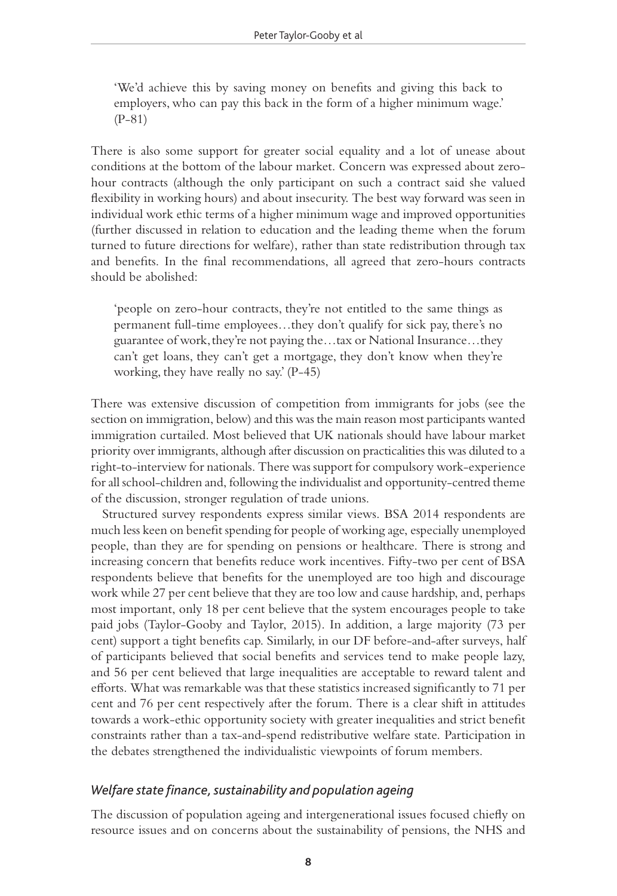'We'd achieve this by saving money on benefits and giving this back to employers, who can pay this back in the form of a higher minimum wage.' (P-81)

There is also some support for greater social equality and a lot of unease about conditions at the bottom of the labour market. Concern was expressed about zerohour contracts (although the only participant on such a contract said she valued flexibility in working hours) and about insecurity. The best way forward was seen in individual work ethic terms of a higher minimum wage and improved opportunities (further discussed in relation to education and the leading theme when the forum turned to future directions for welfare), rather than state redistribution through tax and benefits. In the final recommendations, all agreed that zero-hours contracts should be abolished:

'people on zero-hour contracts, they're not entitled to the same things as permanent full-time employees…they don't qualify for sick pay, there's no guarantee of work, they're not paying the…tax or National Insurance…they can't get loans, they can't get a mortgage, they don't know when they're working, they have really no say.' (P-45)

There was extensive discussion of competition from immigrants for jobs (see the section on immigration, below) and this was the main reason most participants wanted immigration curtailed. Most believed that UK nationals should have labour market priority over immigrants, although after discussion on practicalities this was diluted to a right-to-interview for nationals. There was support for compulsory work-experience for all school-children and, following the individualist and opportunity-centred theme of the discussion, stronger regulation of trade unions.

Structured survey respondents express similar views. BSA 2014 respondents are much less keen on benefit spending for people of working age, especially unemployed people, than they are for spending on pensions or healthcare. There is strong and increasing concern that benefits reduce work incentives. Fifty-two per cent of BSA respondents believe that beneits for the unemployed are too high and discourage work while 27 per cent believe that they are too low and cause hardship, and, perhaps most important, only 18 per cent believe that the system encourages people to take paid jobs (Taylor-Gooby and Taylor, 2015). In addition, a large majority (73 per cent) support a tight benefits cap. Similarly, in our DF before-and-after surveys, half of participants believed that social benefits and services tend to make people lazy, and 56 per cent believed that large inequalities are acceptable to reward talent and efforts. What was remarkable was that these statistics increased significantly to 71 per cent and 76 per cent respectively after the forum. There is a clear shift in attitudes towards a work-ethic opportunity society with greater inequalities and strict benefit constraints rather than a tax-and-spend redistributive welfare state. Participation in the debates strengthened the individualistic viewpoints of forum members.

#### *Welfare state finance, sustainability and population ageing*

The discussion of population ageing and intergenerational issues focused chiefly on resource issues and on concerns about the sustainability of pensions, the NHS and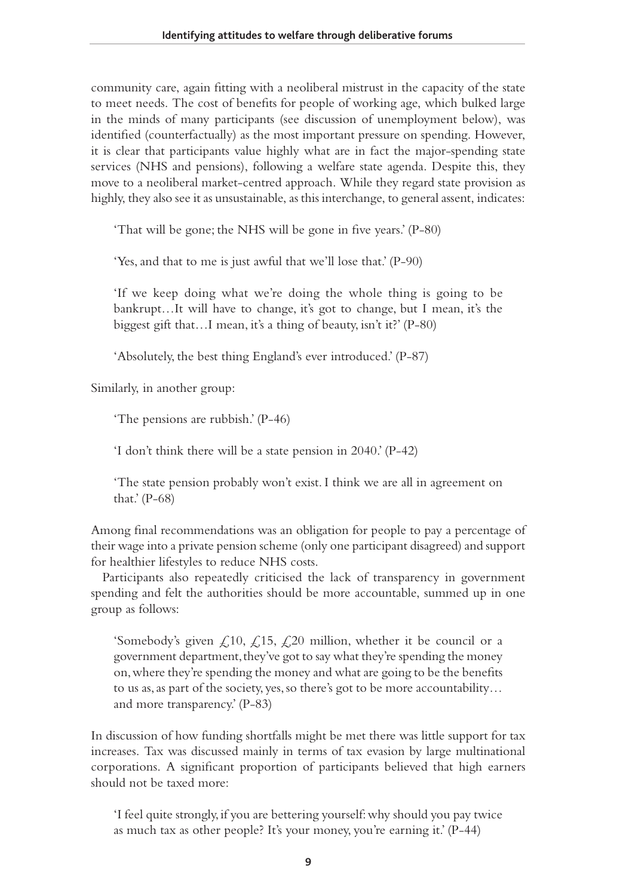community care, again fitting with a neoliberal mistrust in the capacity of the state to meet needs. The cost of benefits for people of working age, which bulked large in the minds of many participants (see discussion of unemployment below), was identified (counterfactually) as the most important pressure on spending. However, it is clear that participants value highly what are in fact the major-spending state services (NHS and pensions), following a welfare state agenda. Despite this, they move to a neoliberal market-centred approach. While they regard state provision as highly, they also see it as unsustainable, as this interchange, to general assent, indicates:

'That will be gone; the NHS will be gone in five years.' (P-80)

'Yes, and that to me is just awful that we'll lose that.' (P-90)

'If we keep doing what we're doing the whole thing is going to be bankrupt…It will have to change, it's got to change, but I mean, it's the biggest gift that...I mean, it's a thing of beauty, isn't it?' (P-80)

'Absolutely, the best thing England's ever introduced.' (P-87)

Similarly, in another group:

'The pensions are rubbish.' (P-46)

'I don't think there will be a state pension in 2040.' (P-42)

'The state pension probably won't exist. I think we are all in agreement on that.' (P-68)

Among final recommendations was an obligation for people to pay a percentage of their wage into a private pension scheme (only one participant disagreed) and support for healthier lifestyles to reduce NHS costs.

Participants also repeatedly criticised the lack of transparency in government spending and felt the authorities should be more accountable, summed up in one group as follows:

'Somebody's given  $\mathcal{L}$ 10,  $\mathcal{L}$ 15,  $\mathcal{L}$ 20 million, whether it be council or a government department, they've got to say what they're spending the money on, where they're spending the money and what are going to be the beneits to us as, as part of the society, yes, so there's got to be more accountability… and more transparency.' (P-83)

In discussion of how funding shortfalls might be met there was little support for tax increases. Tax was discussed mainly in terms of tax evasion by large multinational corporations. A significant proportion of participants believed that high earners should not be taxed more:

'I feel quite strongly, if you are bettering yourself: why should you pay twice as much tax as other people? It's your money, you're earning it.' (P-44)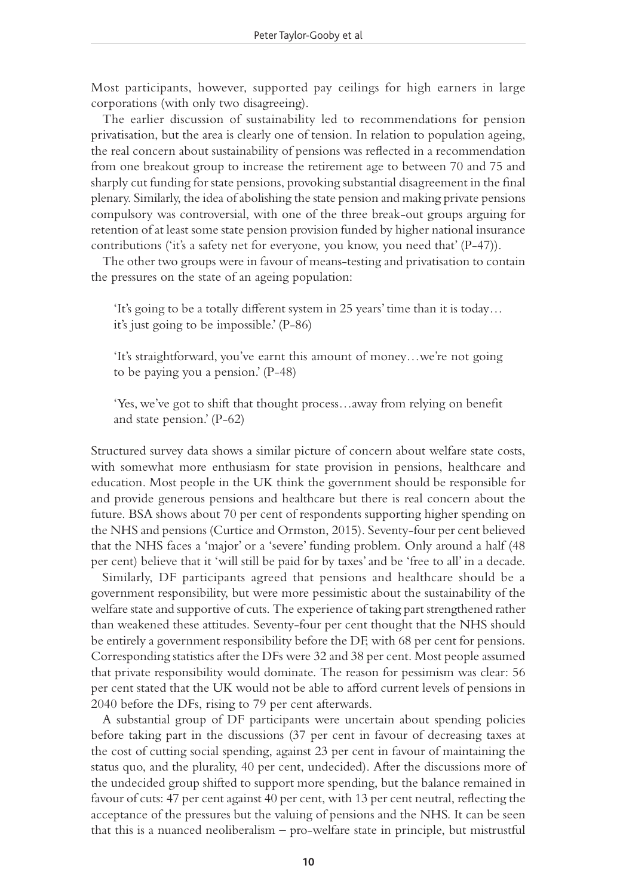Most participants, however, supported pay ceilings for high earners in large corporations (with only two disagreeing).

The earlier discussion of sustainability led to recommendations for pension privatisation, but the area is clearly one of tension. In relation to population ageing, the real concern about sustainability of pensions was relected in a recommendation from one breakout group to increase the retirement age to between 70 and 75 and sharply cut funding for state pensions, provoking substantial disagreement in the final plenary. Similarly, the idea of abolishing the state pension and making private pensions compulsory was controversial, with one of the three break-out groups arguing for retention of at least some state pension provision funded by higher national insurance contributions ('it's a safety net for everyone, you know, you need that' (P-47)).

The other two groups were in favour of means-testing and privatisation to contain the pressures on the state of an ageing population:

'It's going to be a totally diferent system in 25 years' time than it is today… it's just going to be impossible.' (P-86)

'It's straightforward, you've earnt this amount of money…we're not going to be paying you a pension.' (P-48)

'Yes, we've got to shift that thought process...away from relying on benefit and state pension.' (P-62)

Structured survey data shows a similar picture of concern about welfare state costs, with somewhat more enthusiasm for state provision in pensions, healthcare and education. Most people in the UK think the government should be responsible for and provide generous pensions and healthcare but there is real concern about the future. BSA shows about 70 per cent of respondents supporting higher spending on the NHS and pensions (Curtice and Ormston, 2015). Seventy-four per cent believed that the NHS faces a 'major' or a 'severe' funding problem. Only around a half (48 per cent) believe that it 'will still be paid for by taxes' and be 'free to all' in a decade.

Similarly, DF participants agreed that pensions and healthcare should be a government responsibility, but were more pessimistic about the sustainability of the welfare state and supportive of cuts. The experience of taking part strengthened rather than weakened these attitudes. Seventy-four per cent thought that the NHS should be entirely a government responsibility before the DF, with 68 per cent for pensions. Corresponding statistics after the DFs were 32 and 38 per cent. Most people assumed that private responsibility would dominate. The reason for pessimism was clear: 56 per cent stated that the UK would not be able to aford current levels of pensions in 2040 before the DFs, rising to 79 per cent afterwards.

A substantial group of DF participants were uncertain about spending policies before taking part in the discussions (37 per cent in favour of decreasing taxes at the cost of cutting social spending, against 23 per cent in favour of maintaining the status quo, and the plurality, 40 per cent, undecided). After the discussions more of the undecided group shifted to support more spending, but the balance remained in favour of cuts: 47 per cent against 40 per cent, with 13 per cent neutral, relecting the acceptance of the pressures but the valuing of pensions and the NHS. It can be seen that this is a nuanced neoliberalism – pro-welfare state in principle, but mistrustful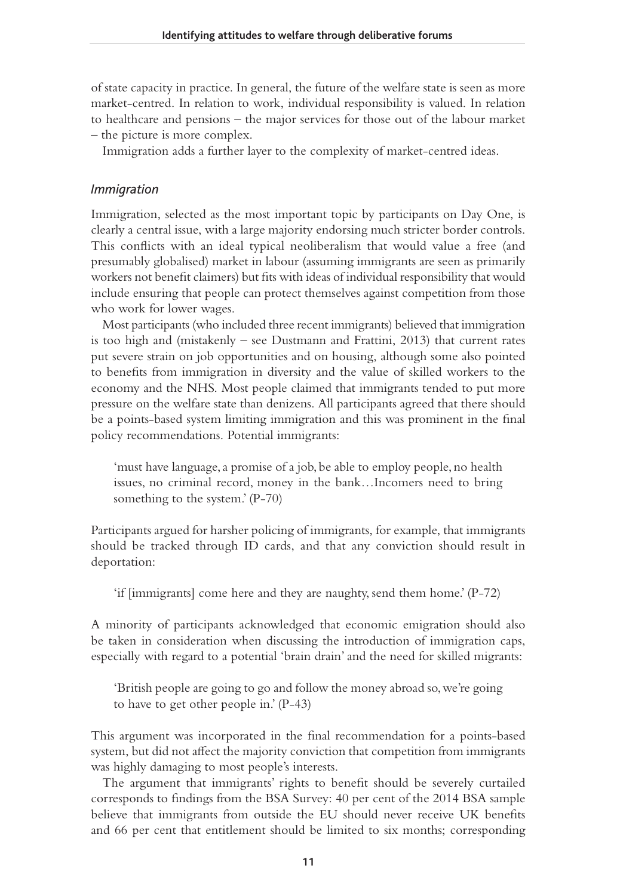of state capacity in practice. In general, the future of the welfare state is seen as more market-centred. In relation to work, individual responsibility is valued. In relation to healthcare and pensions – the major services for those out of the labour market – the picture is more complex.

Immigration adds a further layer to the complexity of market-centred ideas.

#### *Immigration*

Immigration, selected as the most important topic by participants on Day One, is clearly a central issue, with a large majority endorsing much stricter border controls. This conflicts with an ideal typical neoliberalism that would value a free (and presumably globalised) market in labour (assuming immigrants are seen as primarily workers not benefit claimers) but fits with ideas of individual responsibility that would include ensuring that people can protect themselves against competition from those who work for lower wages.

Most participants (who included three recent immigrants) believed that immigration is too high and (mistakenly – see Dustmann and Frattini, 2013) that current rates put severe strain on job opportunities and on housing, although some also pointed to benefits from immigration in diversity and the value of skilled workers to the economy and the NHS. Most people claimed that immigrants tended to put more pressure on the welfare state than denizens. All participants agreed that there should be a points-based system limiting immigration and this was prominent in the inal policy recommendations. Potential immigrants:

'must have language, a promise of a job, be able to employ people, no health issues, no criminal record, money in the bank…Incomers need to bring something to the system.' (P-70)

Participants argued for harsher policing of immigrants, for example, that immigrants should be tracked through ID cards, and that any conviction should result in deportation:

'if [immigrants] come here and they are naughty, send them home.' (P-72)

A minority of participants acknowledged that economic emigration should also be taken in consideration when discussing the introduction of immigration caps, especially with regard to a potential 'brain drain' and the need for skilled migrants:

'British people are going to go and follow the money abroad so, we're going to have to get other people in.' (P-43)

This argument was incorporated in the final recommendation for a points-based system, but did not afect the majority conviction that competition from immigrants was highly damaging to most people's interests.

The argument that immigrants' rights to benefit should be severely curtailed corresponds to indings from the BSA Survey: 40 per cent of the 2014 BSA sample believe that immigrants from outside the EU should never receive UK benefits and 66 per cent that entitlement should be limited to six months; corresponding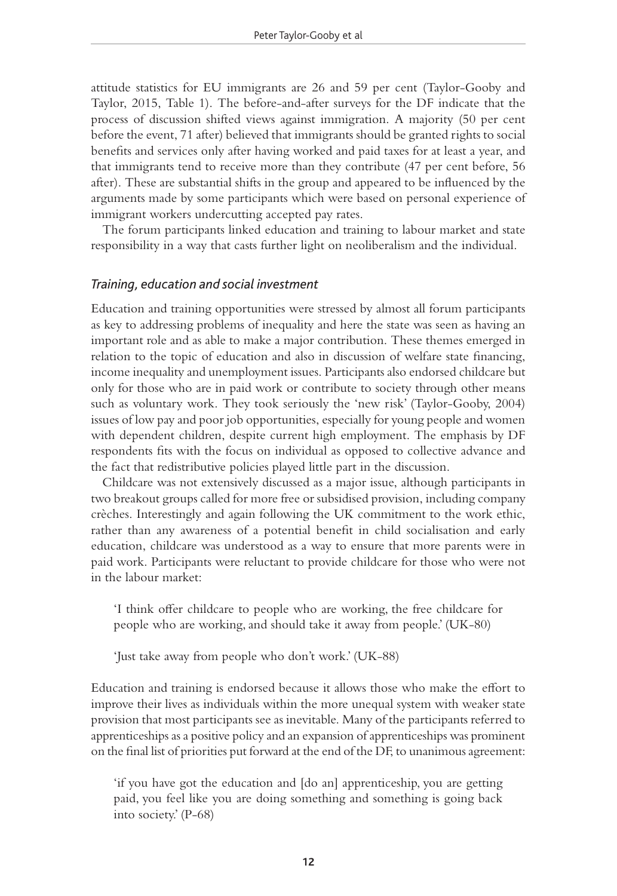attitude statistics for EU immigrants are 26 and 59 per cent (Taylor-Gooby and Taylor, 2015, Table 1). The before-and-after surveys for the DF indicate that the process of discussion shifted views against immigration. A majority (50 per cent before the event, 71 after) believed that immigrants should be granted rights to social benefits and services only after having worked and paid taxes for at least a year, and that immigrants tend to receive more than they contribute (47 per cent before, 56 after). These are substantial shifts in the group and appeared to be inluenced by the arguments made by some participants which were based on personal experience of immigrant workers undercutting accepted pay rates.

The forum participants linked education and training to labour market and state responsibility in a way that casts further light on neoliberalism and the individual.

#### *Training, education and social investment*

Education and training opportunities were stressed by almost all forum participants as key to addressing problems of inequality and here the state was seen as having an important role and as able to make a major contribution. These themes emerged in relation to the topic of education and also in discussion of welfare state financing, income inequality and unemployment issues. Participants also endorsed childcare but only for those who are in paid work or contribute to society through other means such as voluntary work. They took seriously the 'new risk' (Taylor-Gooby, 2004) issues of low pay and poor job opportunities, especially for young people and women with dependent children, despite current high employment. The emphasis by DF respondents fits with the focus on individual as opposed to collective advance and the fact that redistributive policies played little part in the discussion.

Childcare was not extensively discussed as a major issue, although participants in two breakout groups called for more free or subsidised provision, including company crèches. Interestingly and again following the UK commitment to the work ethic, rather than any awareness of a potential benefit in child socialisation and early education, childcare was understood as a way to ensure that more parents were in paid work. Participants were reluctant to provide childcare for those who were not in the labour market:

'I think offer childcare to people who are working, the free childcare for people who are working, and should take it away from people.' (UK-80)

'Just take away from people who don't work.' (UK-88)

Education and training is endorsed because it allows those who make the efort to improve their lives as individuals within the more unequal system with weaker state provision that most participants see as inevitable. Many of the participants referred to apprenticeships as a positive policy and an expansion of apprenticeships was prominent on the inal list of priorities put forward at the end of the DF, to unanimous agreement:

'if you have got the education and [do an] apprenticeship, you are getting paid, you feel like you are doing something and something is going back into society.' (P-68)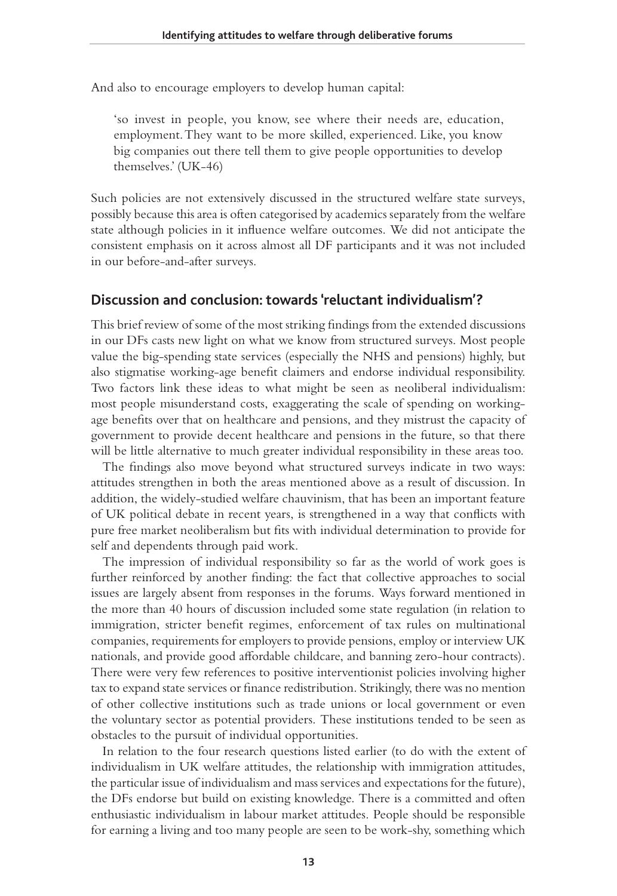And also to encourage employers to develop human capital:

'so invest in people, you know, see where their needs are, education, employment. They want to be more skilled, experienced. Like, you know big companies out there tell them to give people opportunities to develop themselves.' (UK-46)

Such policies are not extensively discussed in the structured welfare state surveys, possibly because this area is often categorised by academics separately from the welfare state although policies in it inluence welfare outcomes. We did not anticipate the consistent emphasis on it across almost all DF participants and it was not included in our before-and-after surveys.

#### **Discussion and conclusion: towards 'reluctant individualism'?**

This brief review of some of the most striking findings from the extended discussions in our DFs casts new light on what we know from structured surveys. Most people value the big-spending state services (especially the NHS and pensions) highly, but also stigmatise working-age beneit claimers and endorse individual responsibility. Two factors link these ideas to what might be seen as neoliberal individualism: most people misunderstand costs, exaggerating the scale of spending on workingage benefits over that on healthcare and pensions, and they mistrust the capacity of government to provide decent healthcare and pensions in the future, so that there will be little alternative to much greater individual responsibility in these areas too.

The findings also move beyond what structured surveys indicate in two ways: attitudes strengthen in both the areas mentioned above as a result of discussion. In addition, the widely-studied welfare chauvinism, that has been an important feature of UK political debate in recent years, is strengthened in a way that conlicts with pure free market neoliberalism but fits with individual determination to provide for self and dependents through paid work.

The impression of individual responsibility so far as the world of work goes is further reinforced by another inding: the fact that collective approaches to social issues are largely absent from responses in the forums. Ways forward mentioned in the more than 40 hours of discussion included some state regulation (in relation to immigration, stricter benefit regimes, enforcement of tax rules on multinational companies, requirements for employers to provide pensions, employ or interview UK nationals, and provide good afordable childcare, and banning zero-hour contracts). There were very few references to positive interventionist policies involving higher tax to expand state services or finance redistribution. Strikingly, there was no mention of other collective institutions such as trade unions or local government or even the voluntary sector as potential providers. These institutions tended to be seen as obstacles to the pursuit of individual opportunities.

In relation to the four research questions listed earlier (to do with the extent of individualism in UK welfare attitudes, the relationship with immigration attitudes, the particular issue of individualism and mass services and expectations for the future), the DFs endorse but build on existing knowledge. There is a committed and often enthusiastic individualism in labour market attitudes. People should be responsible for earning a living and too many people are seen to be work-shy, something which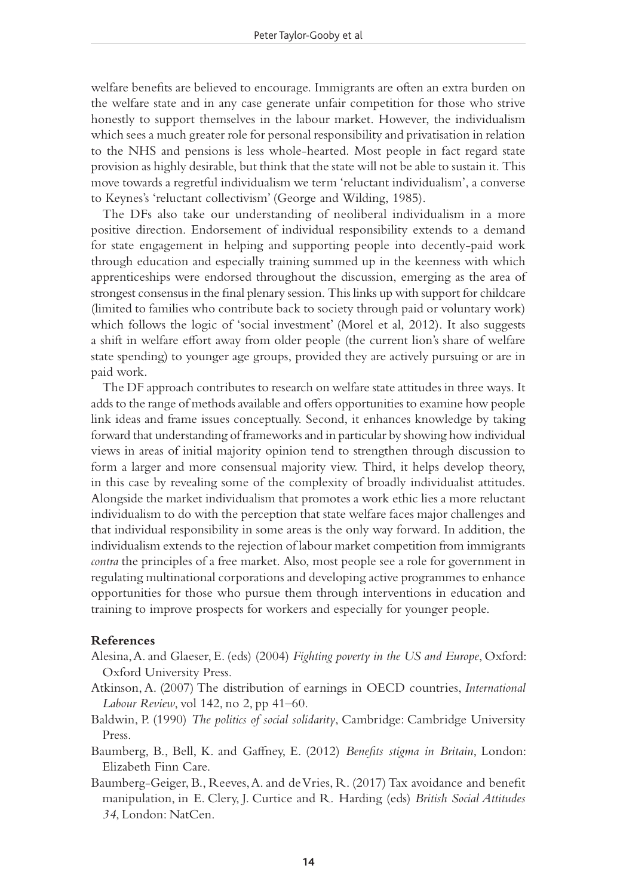welfare benefits are believed to encourage. Immigrants are often an extra burden on the welfare state and in any case generate unfair competition for those who strive honestly to support themselves in the labour market. However, the individualism which sees a much greater role for personal responsibility and privatisation in relation to the NHS and pensions is less whole-hearted. Most people in fact regard state provision as highly desirable, but think that the state will not be able to sustain it. This move towards a regretful individualism we term 'reluctant individualism', a converse to Keynes's 'reluctant collectivism' (George and Wilding, 1985).

The DFs also take our understanding of neoliberal individualism in a more positive direction. Endorsement of individual responsibility extends to a demand for state engagement in helping and supporting people into decently-paid work through education and especially training summed up in the keenness with which apprenticeships were endorsed throughout the discussion, emerging as the area of strongest consensus in the final plenary session. This links up with support for childcare (limited to families who contribute back to society through paid or voluntary work) which follows the logic of 'social investment' (Morel et al, 2012). It also suggests a shift in welfare efort away from older people (the current lion's share of welfare state spending) to younger age groups, provided they are actively pursuing or are in paid work.

The DF approach contributes to research on welfare state attitudes in three ways. It adds to the range of methods available and offers opportunities to examine how people link ideas and frame issues conceptually. Second, it enhances knowledge by taking forward that understanding of frameworks and in particular by showing how individual views in areas of initial majority opinion tend to strengthen through discussion to form a larger and more consensual majority view. Third, it helps develop theory, in this case by revealing some of the complexity of broadly individualist attitudes. Alongside the market individualism that promotes a work ethic lies a more reluctant individualism to do with the perception that state welfare faces major challenges and that individual responsibility in some areas is the only way forward. In addition, the individualism extends to the rejection of labour market competition from immigrants *contra* the principles of a free market. Also, most people see a role for government in regulating multinational corporations and developing active programmes to enhance opportunities for those who pursue them through interventions in education and training to improve prospects for workers and especially for younger people.

#### **References**

- Alesina, A. and Glaeser, E. (eds) (2004) *Fighting poverty in the US and Europe*, Oxford: Oxford University Press.
- Atkinson, A. (2007) The distribution of earnings in OECD countries, *International Labour Review*, vol 142, no 2, pp 41–60.
- Baldwin, P. (1990) *The politics of social solidarity*, Cambridge: Cambridge University Press.
- Baumberg, B., Bell, K. and Gaffney, E. (2012) *Benefits stigma in Britain*, London: Elizabeth Finn Care.
- Baumberg-Geiger, B., Reeves, A. and de Vries, R. (2017) Tax avoidance and beneit manipulation, in E. Clery, J. Curtice and R. Harding (eds) *British Social Attitudes 34*, London: NatCen.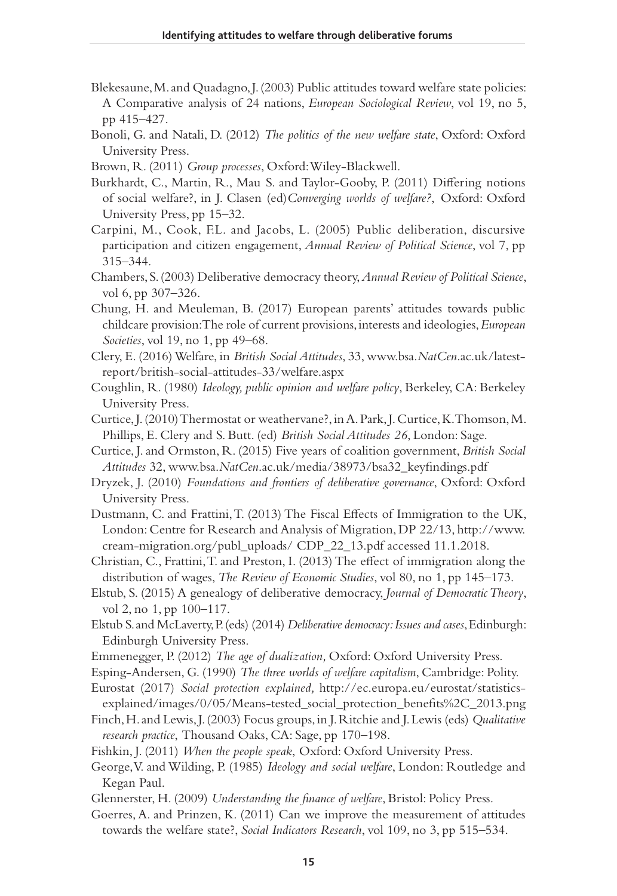- Blekesaune, M. and Quadagno, J. (2003) Public attitudes toward welfare state policies: A Comparative analysis of 24 nations, *European Sociological Review*, vol 19, no 5, pp 415–427.
- Bonoli, G. and Natali, D. (2012) *The politics of the new welfare state*, Oxford: Oxford University Press.
- Brown, R. (2011) *Group processes*, Oxford: Wiley-Blackwell.
- Burkhardt, C., Martin, R., Mau S. and Taylor-Gooby, P. (2011) Difering notions of social welfare?, in J. Clasen (ed)*Converging worlds of welfare?*, Oxford: Oxford University Press, pp 15–32.
- Carpini, M., Cook, F.L. and Jacobs, L. (2005) Public deliberation, discursive participation and citizen engagement, *Annual Review of Political Science*, vol 7, pp 315–344.
- Chambers, S. (2003) Deliberative democracy theory, *Annual Review of Political Science*, vol 6, pp 307–326.
- Chung, H. and Meuleman, B. (2017) European parents' attitudes towards public childcare provision: The role of current provisions, interests and ideologies, *European Societies*, vol 19, no 1, pp 49–68.
- Clery, E. (2016) Welfare, in *British Social Attitudes*, 33, www.bsa.*NatCen*.ac.uk/latestreport/british-social-attitudes-33/welfare.aspx
- Coughlin, R. (1980) *Ideology, public opinion and welfare policy*, Berkeley, CA: Berkeley University Press.
- Curtice, J. (2010) Thermostat or weathervane?, in A. Park, J. Curtice, K. Thomson, M. Phillips, E. Clery and S. Butt. (ed) *British Social Attitudes 26*, London: Sage.
- Curtice, J. and Ormston, R. (2015) Five years of coalition government, *British Social Attitudes* 32, www.bsa.*NatCen*.ac.uk/media/38973/bsa32\_keyindings.pdf
- Dryzek, J. (2010) *Foundations and frontiers of deliberative governance*, Oxford: Oxford University Press.
- Dustmann, C. and Frattini, T. (2013) The Fiscal Effects of Immigration to the UK, London: Centre for Research and Analysis of Migration, DP 22/13, http://www. cream-migration.org/publ\_uploads/ CDP\_22\_13.pdf accessed 11.1.2018.
- Christian, C., Frattini, T. and Preston, I. (2013) The efect of immigration along the distribution of wages, *The Review of Economic Studies*, vol 80, no 1, pp 145–173.
- Elstub, S. (2015) A genealogy of deliberative democracy, *Journal of Democratic Theory*, vol 2, no 1, pp 100–117.
- Elstub S. and McLaverty, P. (eds) (2014) *Deliberative democracy: Issues and cases*, Edinburgh: Edinburgh University Press.
- Emmenegger, P. (2012) *The age of dualization,* Oxford: Oxford University Press.
- Esping-Andersen, G. (1990) *The three worlds of welfare capitalism*, Cambridge: Polity.
- Eurostat (2017) *Social protection explained,* http://ec.europa.eu/eurostat/statisticsexplained/images/0/05/Means-tested\_social\_protection\_benefits%2C\_2013.png
- Finch, H. and Lewis, J. (2003) Focus groups, in J. Ritchie and J. Lewis (eds) *Qualitative research practice*, Thousand Oaks, CA: Sage, pp 170–198.
- Fishkin, J. (2011) *When the people speak*, Oxford: Oxford University Press.
- George, V. and Wilding, P. (1985) *Ideology and social welfare*, London: Routledge and Kegan Paul.
- Glennerster, H. (2009) *Understanding the inance of welfare*, Bristol: Policy Press.
- Goerres, A. and Prinzen, K. (2011) Can we improve the measurement of attitudes towards the welfare state?, *Social Indicators Research*, vol 109, no 3, pp 515–534.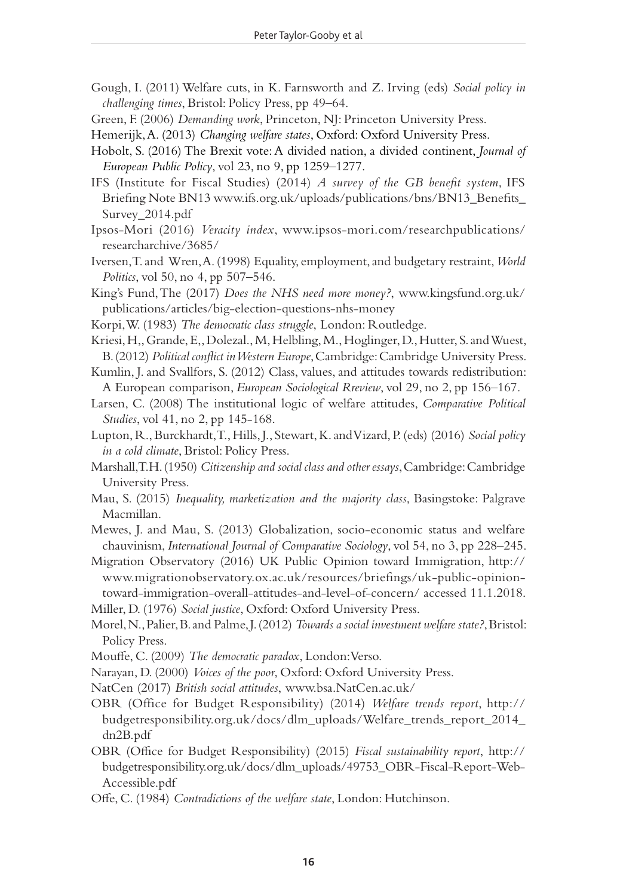- Gough, I. (2011) Welfare cuts, in K. Farnsworth and Z. Irving (eds) *Social policy in challenging times*, Bristol: Policy Press, pp 49–64.
- Green, F. (2006) *Demanding work*, Princeton, NJ: Princeton University Press.
- Hemerijk, A. (2013) *Changing welfare states*, Oxford: Oxford University Press.

Hobolt, S. (2016) The Brexit vote: A divided nation, a divided continent, *Journal of European Public Policy*, vol 23, no 9, pp 1259–1277.

- IFS (Institute for Fiscal Studies) (2014) *A survey of the GB benefit system*, IFS Briefing Note BN13 www.ifs.org.uk/uploads/publications/bns/BN13\_Benefits Survey\_2014.pdf
- Ipsos-Mori (2016) *Veracity index*, www.ipsos-mori.com/researchpublications/ researcharchive/3685/
- Iversen, T. and Wren, A. (1998) Equality, employment, and budgetary restraint, *World Politics*, vol 50, no 4, pp 507–546.
- King's Fund, The (2017) *Does the NHS need more money?*, www.kingsfund.org.uk/ publications/articles/big-election-questions-nhs-money
- Korpi, W. (1983) *The democratic class struggle*, London: Routledge.
- Kriesi, H,, Grande, E,, Dolezal., M, Helbling, M., Hoglinger, D., Hutter, S. and Wuest, B. (2012) *Political conlict in Western Europe*, Cambridge: Cambridge University Press.
- Kumlin, J. and Svallfors, S. (2012) Class, values, and attitudes towards redistribution: A European comparison, *European Sociological Rreview*, vol 29, no 2, pp 156–167.
- Larsen, C. (2008) The institutional logic of welfare attitudes, *Comparative Political Studies*, vol 41, no 2, pp 145-168.
- Lupton, R., Burckhardt, T., Hills, J., Stewart, K. and Vizard, P. (eds) (2016) *Social policy in a cold climate*, Bristol: Policy Press.
- Marshall, T.H. (1950) *Citizenship and social class and other essays*, Cambridge: Cambridge University Press.
- Mau, S. (2015) *Inequality, marketization and the majority class*, Basingstoke: Palgrave Macmillan.
- Mewes, J. and Mau, S. (2013) Globalization, socio-economic status and welfare chauvinism, *International Journal of Comparative Sociology*, vol 54, no 3, pp 228–245.
- Migration Observatory (2016) UK Public Opinion toward Immigration, http:// www.migrationobservatory.ox.ac.uk/resources/brieings/uk-public-opiniontoward-immigration-overall-attitudes-and-level-of-concern/ accessed 11.1.2018.
- Miller, D. (1976) *Social justice*, Oxford: Oxford University Press.
- Morel, N., Palier, B. and Palme, J. (2012) *Towards a social investment welfare state?*, Bristol: Policy Press.
- Moufe, C. (2009) *The democratic paradox*, London: Verso.
- Narayan, D. (2000) *Voices of the poor*, Oxford: Oxford University Press.
- NatCen (2017) *British social attitudes*, www.bsa.NatCen.ac.uk/
- OBR (Office for Budget Responsibility) (2014) *Welfare trends report*, http:// budgetresponsibility.org.uk/docs/dlm\_uploads/Welfare\_trends\_report\_2014\_ dn2B.pdf
- OBR (Office for Budget Responsibility) (2015) *Fiscal sustainability report*, http:// budgetresponsibility.org.uk/docs/dlm\_uploads/49753\_OBR-Fiscal-Report-Web-Accessible.pdf
- Ofe, C. (1984) *Contradictions of the welfare state*, London: Hutchinson.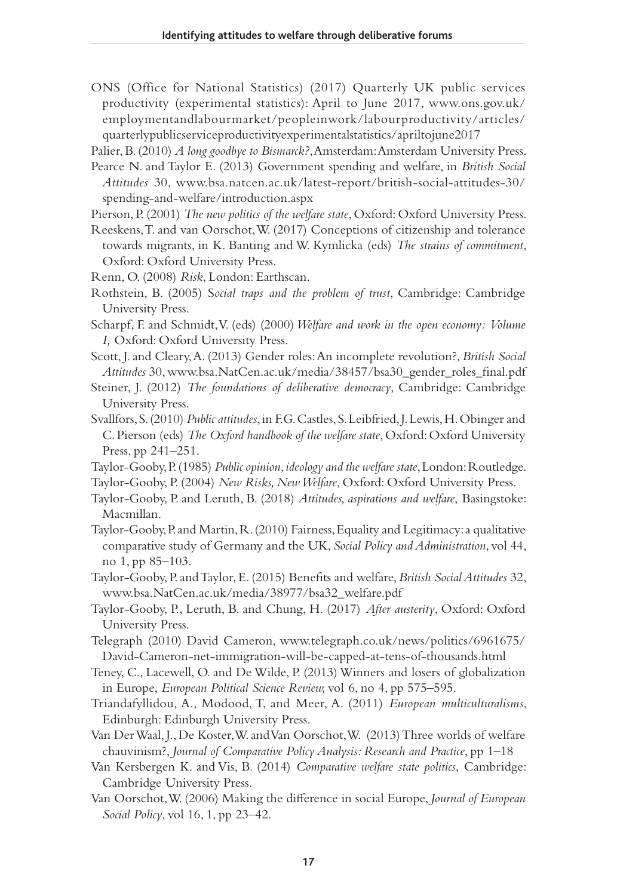ONS (Office for National Statistics) (2017) Quarterly UK public services productivity (experimental statistics): April to June 2017, www.ons.gov.uk/ employmentandlabourmarket/peopleinwork/labourproductivity/articles/ quarterlypublicserviceproductivityexperimentalstatistics/apriltojune2017

Palier, B. (2010) *A long goodbye to Bismarck?*, Amsterdam: Amsterdam University Press.

- Pearce N. and Taylor E. (2013) Government spending and welfare, in *British Social Attitudes* 30, www.bsa.natcen.ac.uk/latest-report/british-social-attitudes-30/ spending-and-welfare/introduction.aspx
- Pierson, P. (2001) *The new politics of the welfare state*, Oxford: Oxford University Press.
- Reeskens, T. and van Oorschot, W. (2017) Conceptions of citizenship and tolerance towards migrants, in K. Banting and W. Kymlicka (eds) *The strains of commitment*, Oxford: Oxford University Press.

Renn, O. (2008) *Risk*, London: Earthscan.

- Rothstein, B. (2005) S*ocial traps and the problem of trust*, Cambridge: Cambridge University Press.
- Scharpf, F. and Schmidt, V. (eds) (2000) *Welfare and work in the open economy: Volume I,* Oxford: Oxford University Press.
- Scott, J. and Cleary, A. (2013) Gender roles: An incomplete revolution?, *British Social*  Attitudes 30, www.bsa.NatCen.ac.uk/media/38457/bsa30\_gender\_roles\_final.pdf
- Steiner, J. (2012) *The foundations of deliberative democracy*, Cambridge: Cambridge University Press.
- Svallfors, S. (2010) *Public attitudes*, in F.G. Castles, S. Leibfried, J. Lewis, H. Obinger and C. Pierson (eds) *The Oxford handbook of the welfare state*, Oxford: Oxford University Press, pp 241–251.
- Taylor-Gooby, P. (1985) *Public opinion, ideology and the welfare state*, London: Routledge.
- Taylor-Gooby, P. (2004) *New Risks, New Welfare*, Oxford: Oxford University Press.
- Taylor-Gooby, P. and Leruth, B. (2018) *Attitudes, aspirations and welfare*, Basingstoke: Macmillan.
- Taylor-Gooby, P. and Martin, R. (2010) Fairness, Equality and Legitimacy: a qualitative comparative study of Germany and the UK, *Social Policy and Administration*, vol 44, no 1, pp 85–103.
- Taylor-Gooby, P. and Taylor, E. (2015) Beneits and welfare, *British Social Attitudes* 32, www.bsa.NatCen.ac.uk/media/38977/bsa32\_welfare.pdf
- Taylor-Gooby, P., Leruth, B. and Chung, H. (2017) *After austerity*, Oxford: Oxford University Press.
- Telegraph (2010) David Cameron, www.telegraph.co.uk/news/politics/6961675/ David-Cameron-net-immigration-will-be-capped-at-tens-of-thousands.html
- Teney, C., Lacewell, O. and De Wilde, P. (2013) Winners and losers of globalization in Europe, *European Political Science Review,* vol 6, no 4, pp 575–595.
- Triandafyllidou, A., Modood, T, and Meer, A. (2011) *European multiculturalisms*, Edinburgh: Edinburgh University Press.
- Van Der Waal, J., De Koster, W. and Van Oorschot, W. (2013) Three worlds of welfare chauvinism?, *Journal of Comparative Policy Analysis: Research and Practice*, pp 1–18
- Van Kersbergen K. and Vis, B. (2014) *Comparative welfare state politics*, Cambridge: Cambridge University Press.
- Van Oorschot, W. (2006) Making the diference in social Europe, *Journal of European Social Policy*, vol 16, 1, pp 23–42.